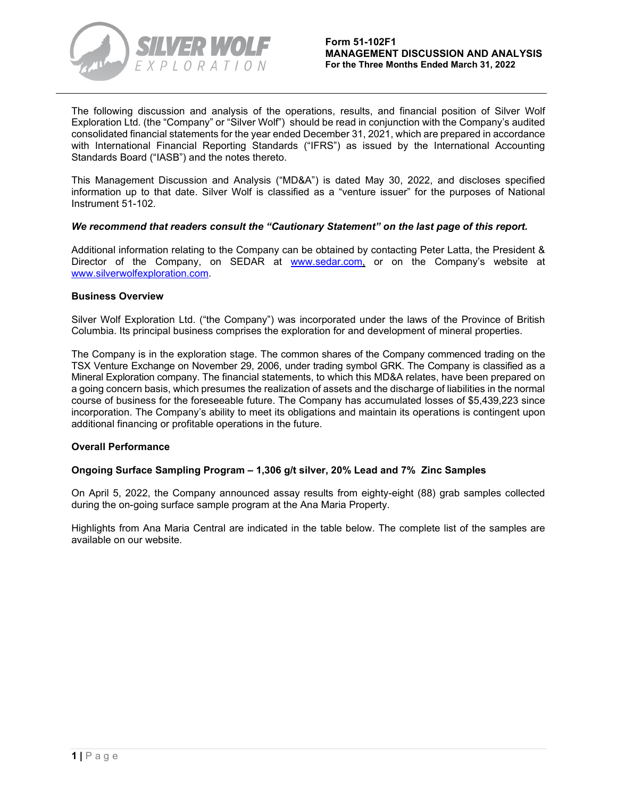

The following discussion and analysis of the operations, results, and financial position of Silver Wolf Exploration Ltd. (the "Company" or "Silver Wolf") should be read in conjunction with the Company's audited consolidated financial statements for the year ended December 31, 2021, which are prepared in accordance with International Financial Reporting Standards ("IFRS") as issued by the International Accounting Standards Board ("IASB") and the notes thereto.

This Management Discussion and Analysis ("MD&A") is dated May 30, 2022, and discloses specified information up to that date. Silver Wolf is classified as a "venture issuer" for the purposes of National Instrument 51-102.

# *We recommend that readers consult the "Cautionary Statement" on the last page of this report.*

Additional information relating to the Company can be obtained by contacting Peter Latta, the President & Director of the Company, on SEDAR at [www.sedar.com,](http://www.sedar.com/) or on the Company's website at www.silverwolfexploration.com.

### **Business Overview**

Silver Wolf Exploration Ltd. ("the Company") was incorporated under the laws of the Province of British Columbia. Its principal business comprises the exploration for and development of mineral properties.

The Company is in the exploration stage. The common shares of the Company commenced trading on the TSX Venture Exchange on November 29, 2006, under trading symbol GRK. The Company is classified as a Mineral Exploration company. The financial statements, to which this MD&A relates, have been prepared on a going concern basis, which presumes the realization of assets and the discharge of liabilities in the normal course of business for the foreseeable future. The Company has accumulated losses of \$5,439,223 since incorporation. The Company's ability to meet its obligations and maintain its operations is contingent upon additional financing or profitable operations in the future.

# **Overall Performance**

# **Ongoing Surface Sampling Program – 1,306 g/t silver, 20% Lead and 7% Zinc Samples**

On April 5, 2022, the Company announced assay results from eighty-eight (88) grab samples collected during the on-going surface sample program at the Ana Maria Property.

Highlights from Ana Maria Central are indicated in the table below. The complete list of the samples are available on our website.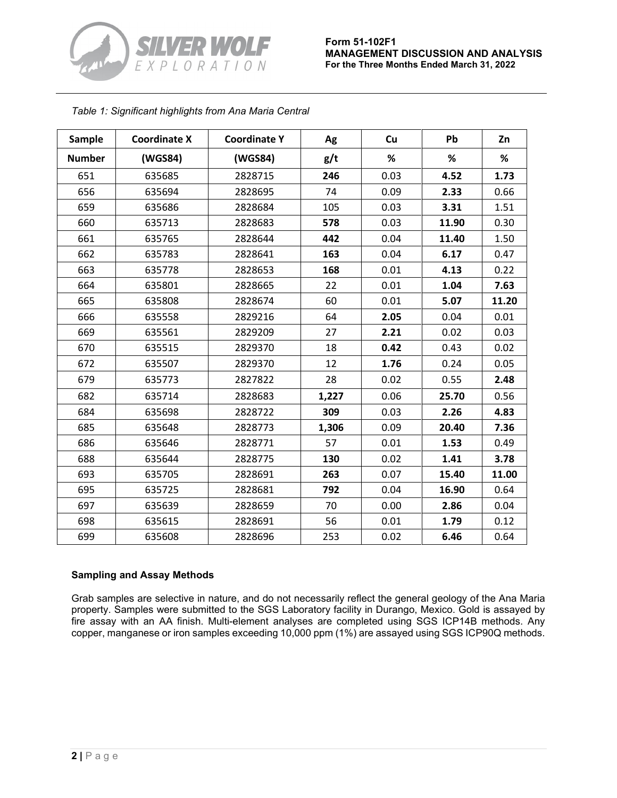

# *Table 1: Significant highlights from Ana Maria Central*

| <b>Sample</b> | <b>Coordinate X</b> | <b>Coordinate Y</b> | Ag    | Cu   | Pb    | Zn    |
|---------------|---------------------|---------------------|-------|------|-------|-------|
| <b>Number</b> | (WGS84)             | (WGS84)             | g/t   | %    | %     | %     |
| 651           | 635685              | 2828715             | 246   | 0.03 | 4.52  | 1.73  |
| 656           | 635694              | 2828695             | 74    | 0.09 | 2.33  | 0.66  |
| 659           | 635686              | 2828684             | 105   | 0.03 | 3.31  | 1.51  |
| 660           | 635713              | 2828683             | 578   | 0.03 | 11.90 | 0.30  |
| 661           | 635765              | 2828644             | 442   | 0.04 | 11.40 | 1.50  |
| 662           | 635783              | 2828641             | 163   | 0.04 | 6.17  | 0.47  |
| 663           | 635778              | 2828653             | 168   | 0.01 | 4.13  | 0.22  |
| 664           | 635801              | 2828665             | 22    | 0.01 | 1.04  | 7.63  |
| 665           | 635808              | 2828674             | 60    | 0.01 | 5.07  | 11.20 |
| 666           | 635558              | 2829216             | 64    | 2.05 | 0.04  | 0.01  |
| 669           | 635561              | 2829209             | 27    | 2.21 | 0.02  | 0.03  |
| 670           | 635515              | 2829370             | 18    | 0.42 | 0.43  | 0.02  |
| 672           | 635507              | 2829370             | 12    | 1.76 | 0.24  | 0.05  |
| 679           | 635773              | 2827822             | 28    | 0.02 | 0.55  | 2.48  |
| 682           | 635714              | 2828683             | 1,227 | 0.06 | 25.70 | 0.56  |
| 684           | 635698              | 2828722             | 309   | 0.03 | 2.26  | 4.83  |
| 685           | 635648              | 2828773             | 1,306 | 0.09 | 20.40 | 7.36  |
| 686           | 635646              | 2828771             | 57    | 0.01 | 1.53  | 0.49  |
| 688           | 635644              | 2828775             | 130   | 0.02 | 1.41  | 3.78  |
| 693           | 635705              | 2828691             | 263   | 0.07 | 15.40 | 11.00 |
| 695           | 635725              | 2828681             | 792   | 0.04 | 16.90 | 0.64  |
| 697           | 635639              | 2828659             | 70    | 0.00 | 2.86  | 0.04  |
| 698           | 635615              | 2828691             | 56    | 0.01 | 1.79  | 0.12  |
| 699           | 635608              | 2828696             | 253   | 0.02 | 6.46  | 0.64  |

# **Sampling and Assay Methods**

Grab samples are selective in nature, and do not necessarily reflect the general geology of the Ana Maria property. Samples were submitted to the SGS Laboratory facility in Durango, Mexico. Gold is assayed by fire assay with an AA finish. Multi-element analyses are completed using SGS ICP14B methods. Any copper, manganese or iron samples exceeding 10,000 ppm (1%) are assayed using SGS ICP90Q methods.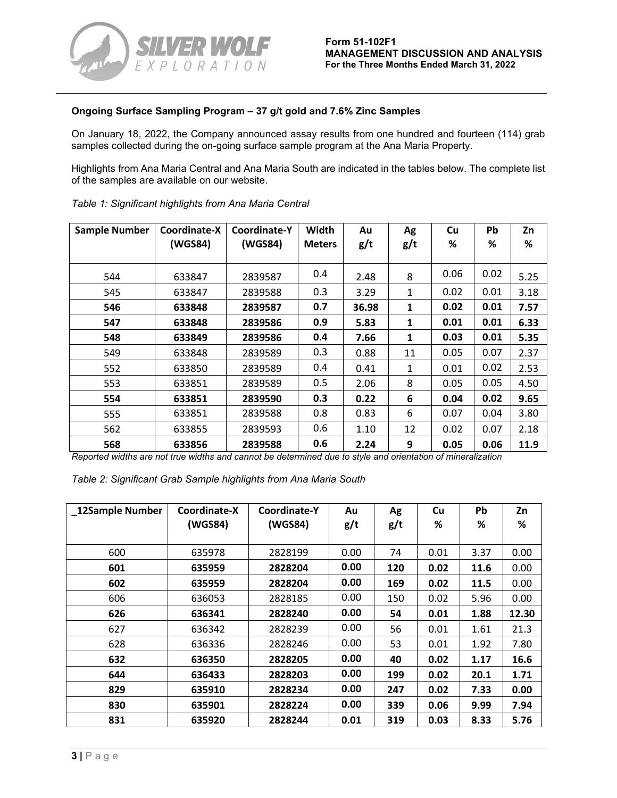

# **Ongoing Surface Sampling Program – 37 g/t gold and 7.6% Zinc Samples**

On January 18, 2022, the Company announced assay results from one hundred and fourteen (114) grab samples collected during the on-going surface sample program at the Ana Maria Property.

Highlights from Ana Maria Central and Ana Maria South are indicated in the tables below. The complete list of the samples are available on our website.

| <b>Sample Number</b> | Coordinate-X<br>(WGS84) | Coordinate-Y<br>(WGS84) | Width<br><b>Meters</b> | Au<br>g/t | Ag<br>g/t    | Cu<br>% | <b>Pb</b><br>℅ | Zn<br>% |
|----------------------|-------------------------|-------------------------|------------------------|-----------|--------------|---------|----------------|---------|
| 544                  | 633847                  | 2839587                 | 0.4                    | 2.48      | 8            | 0.06    | 0.02           | 5.25    |
| 545                  | 633847                  | 2839588                 | 0.3                    | 3.29      | 1            | 0.02    | 0.01           | 3.18    |
| 546                  | 633848                  | 2839587                 | 0.7                    | 36.98     | 1            | 0.02    | 0.01           | 7.57    |
| 547                  | 633848                  | 2839586                 | 0.9                    | 5.83      | 1            | 0.01    | 0.01           | 6.33    |
| 548                  | 633849                  | 2839586                 | 0.4                    | 7.66      | $\mathbf{1}$ | 0.03    | 0.01           | 5.35    |
| 549                  | 633848                  | 2839589                 | 0.3                    | 0.88      | 11           | 0.05    | 0.07           | 2.37    |
| 552                  | 633850                  | 2839589                 | 0.4                    | 0.41      | 1            | 0.01    | 0.02           | 2.53    |
| 553                  | 633851                  | 2839589                 | 0.5                    | 2.06      | 8            | 0.05    | 0.05           | 4.50    |
| 554                  | 633851                  | 2839590                 | 0.3                    | 0.22      | 6            | 0.04    | 0.02           | 9.65    |
| 555                  | 633851                  | 2839588                 | 0.8                    | 0.83      | 6            | 0.07    | 0.04           | 3.80    |
| 562                  | 633855                  | 2839593                 | 0.6                    | 1.10      | 12           | 0.02    | 0.07           | 2.18    |
| 568                  | 633856                  | 2839588                 | 0.6                    | 2.24      | 9            | 0.05    | 0.06           | 11.9    |

|  | Table 1: Significant highlights from Ana Maria Central |  |  |  |  |
|--|--------------------------------------------------------|--|--|--|--|
|--|--------------------------------------------------------|--|--|--|--|

*Reported widths are not true widths and cannot be determined due to style and orientation of mineralization*

| 12Sample Number | Coordinate-X | Coordinate-Y | Au   | Ag  | Cu   | Pb   | Zn    |
|-----------------|--------------|--------------|------|-----|------|------|-------|
|                 | (WGS84)      | (WGS84)      | g/t  | g/t | %    | ℅    | %     |
|                 |              |              |      |     |      |      |       |
| 600             | 635978       | 2828199      | 0.00 | 74  | 0.01 | 3.37 | 0.00  |
| 601             | 635959       | 2828204      | 0.00 | 120 | 0.02 | 11.6 | 0.00  |
| 602             | 635959       | 2828204      | 0.00 | 169 | 0.02 | 11.5 | 0.00  |
| 606             | 636053       | 2828185      | 0.00 | 150 | 0.02 | 5.96 | 0.00  |
| 626             | 636341       | 2828240      | 0.00 | 54  | 0.01 | 1.88 | 12.30 |
| 627             | 636342       | 2828239      | 0.00 | 56  | 0.01 | 1.61 | 21.3  |
| 628             | 636336       | 2828246      | 0.00 | 53  | 0.01 | 1.92 | 7.80  |
| 632             | 636350       | 2828205      | 0.00 | 40  | 0.02 | 1.17 | 16.6  |
| 644             | 636433       | 2828203      | 0.00 | 199 | 0.02 | 20.1 | 1.71  |
| 829             | 635910       | 2828234      | 0.00 | 247 | 0.02 | 7.33 | 0.00  |
| 830             | 635901       | 2828224      | 0.00 | 339 | 0.06 | 9.99 | 7.94  |
| 831             | 635920       | 2828244      | 0.01 | 319 | 0.03 | 8.33 | 5.76  |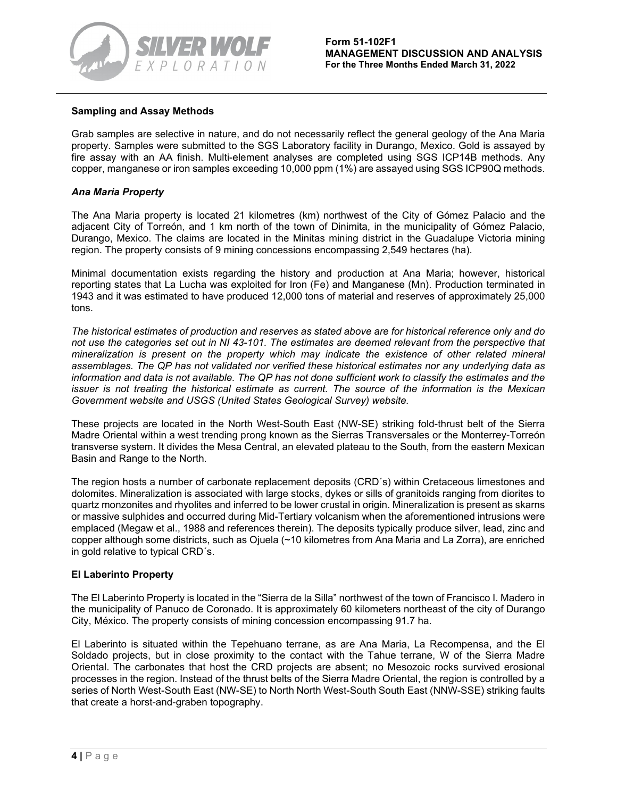

# **Sampling and Assay Methods**

Grab samples are selective in nature, and do not necessarily reflect the general geology of the Ana Maria property. Samples were submitted to the SGS Laboratory facility in Durango, Mexico. Gold is assayed by fire assay with an AA finish. Multi-element analyses are completed using SGS ICP14B methods. Any copper, manganese or iron samples exceeding 10,000 ppm (1%) are assayed using SGS ICP90Q methods.

# *Ana Maria Property*

The Ana Maria property is located 21 kilometres (km) northwest of the City of Gómez Palacio and the adjacent City of Torreón, and 1 km north of the town of Dinimita, in the municipality of Gómez Palacio, Durango, Mexico. The claims are located in the Minitas mining district in the Guadalupe Victoria mining region. The property consists of 9 mining concessions encompassing 2,549 hectares (ha).

Minimal documentation exists regarding the history and production at Ana Maria; however, historical reporting states that La Lucha was exploited for Iron (Fe) and Manganese (Mn). Production terminated in 1943 and it was estimated to have produced 12,000 tons of material and reserves of approximately 25,000 tons.

*The historical estimates of production and reserves as stated above are for historical reference only and do not use the categories set out in NI 43-101. The estimates are deemed relevant from the perspective that mineralization is present on the property which may indicate the existence of other related mineral assemblages. The QP has not validated nor verified these historical estimates nor any underlying data as information and data is not available. The QP has not done sufficient work to classify the estimates and the issuer is not treating the historical estimate as current. The source of the information is the Mexican Government website and USGS (United States Geological Survey) website.* 

These projects are located in the North West-South East (NW-SE) striking fold-thrust belt of the Sierra Madre Oriental within a west trending prong known as the Sierras Transversales or the Monterrey-Torreón transverse system. It divides the Mesa Central, an elevated plateau to the South, from the eastern Mexican Basin and Range to the North.

The region hosts a number of carbonate replacement deposits (CRD´s) within Cretaceous limestones and dolomites. Mineralization is associated with large stocks, dykes or sills of granitoids ranging from diorites to quartz monzonites and rhyolites and inferred to be lower crustal in origin. Mineralization is present as skarns or massive sulphides and occurred during Mid-Tertiary volcanism when the aforementioned intrusions were emplaced (Megaw et al., 1988 and references therein). The deposits typically produce silver, lead, zinc and copper although some districts, such as Ojuela (~10 kilometres from Ana Maria and La Zorra), are enriched in gold relative to typical CRD´s.

# **El Laberinto Property**

The El Laberinto Property is located in the "Sierra de la Silla" northwest of the town of Francisco I. Madero in the municipality of Panuco de Coronado. It is approximately 60 kilometers northeast of the city of Durango City, México. The property consists of mining concession encompassing 91.7 ha.

El Laberinto is situated within the Tepehuano terrane, as are Ana Maria, La Recompensa, and the El Soldado projects, but in close proximity to the contact with the Tahue terrane, W of the Sierra Madre Oriental. The carbonates that host the CRD projects are absent; no Mesozoic rocks survived erosional processes in the region. Instead of the thrust belts of the Sierra Madre Oriental, the region is controlled by a series of North West-South East (NW-SE) to North North West-South South East (NNW-SSE) striking faults that create a horst-and-graben topography.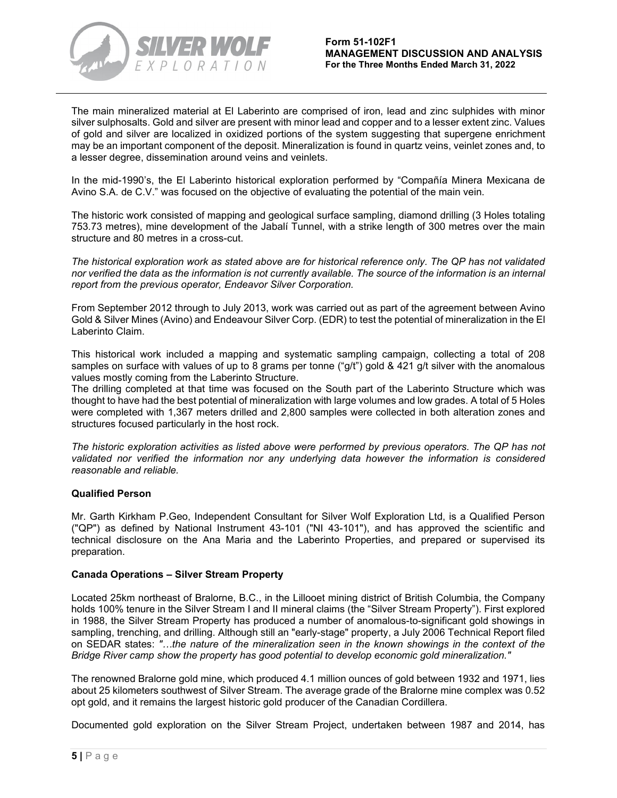

The main mineralized material at El Laberinto are comprised of iron, lead and zinc sulphides with minor silver sulphosalts. Gold and silver are present with minor lead and copper and to a lesser extent zinc. Values of gold and silver are localized in oxidized portions of the system suggesting that supergene enrichment may be an important component of the deposit. Mineralization is found in quartz veins, veinlet zones and, to a lesser degree, dissemination around veins and veinlets.

In the mid-1990's, the El Laberinto historical exploration performed by "Compañía Minera Mexicana de Avino S.A. de C.V." was focused on the objective of evaluating the potential of the main vein.

The historic work consisted of mapping and geological surface sampling, diamond drilling (3 Holes totaling 753.73 metres), mine development of the Jabalí Tunnel, with a strike length of 300 metres over the main structure and 80 metres in a cross-cut.

*The historical exploration work as stated above are for historical reference only. The QP has not validated nor verified the data as the information is not currently available. The source of the information is an internal report from the previous operator, Endeavor Silver Corporation.*

From September 2012 through to July 2013, work was carried out as part of the agreement between Avino Gold & Silver Mines (Avino) and Endeavour Silver Corp. (EDR) to test the potential of mineralization in the El Laberinto Claim.

This historical work included a mapping and systematic sampling campaign, collecting a total of 208 samples on surface with values of up to 8 grams per tonne ("g/t") gold & 421 g/t silver with the anomalous values mostly coming from the Laberinto Structure.

The drilling completed at that time was focused on the South part of the Laberinto Structure which was thought to have had the best potential of mineralization with large volumes and low grades. A total of 5 Holes were completed with 1,367 meters drilled and 2,800 samples were collected in both alteration zones and structures focused particularly in the host rock.

*The historic exploration activities as listed above were performed by previous operators. The QP has not validated nor verified the information nor any underlying data however the information is considered reasonable and reliable.*

# **Qualified Person**

Mr. Garth Kirkham P.Geo, Independent Consultant for Silver Wolf Exploration Ltd, is a Qualified Person ("QP") as defined by National Instrument 43-101 ("NI 43-101"), and has approved the scientific and technical disclosure on the Ana Maria and the Laberinto Properties, and prepared or supervised its preparation.

# **Canada Operations – Silver Stream Property**

Located 25km northeast of Bralorne, B.C., in the Lillooet mining district of British Columbia, the Company holds 100% tenure in the Silver Stream I and II mineral claims (the "Silver Stream Property"). First explored in 1988, the Silver Stream Property has produced a number of anomalous-to-significant gold showings in sampling, trenching, and drilling. Although still an "early-stage" property, a July 2006 Technical Report filed on SEDAR states: *"…the nature of the mineralization seen in the known showings in the context of the Bridge River camp show the property has good potential to develop economic gold mineralization."*

The renowned Bralorne gold mine, which produced 4.1 million ounces of gold between 1932 and 1971, lies about 25 kilometers southwest of Silver Stream. The average grade of the Bralorne mine complex was 0.52 opt gold, and it remains the largest historic gold producer of the Canadian Cordillera.

Documented gold exploration on the Silver Stream Project, undertaken between 1987 and 2014, has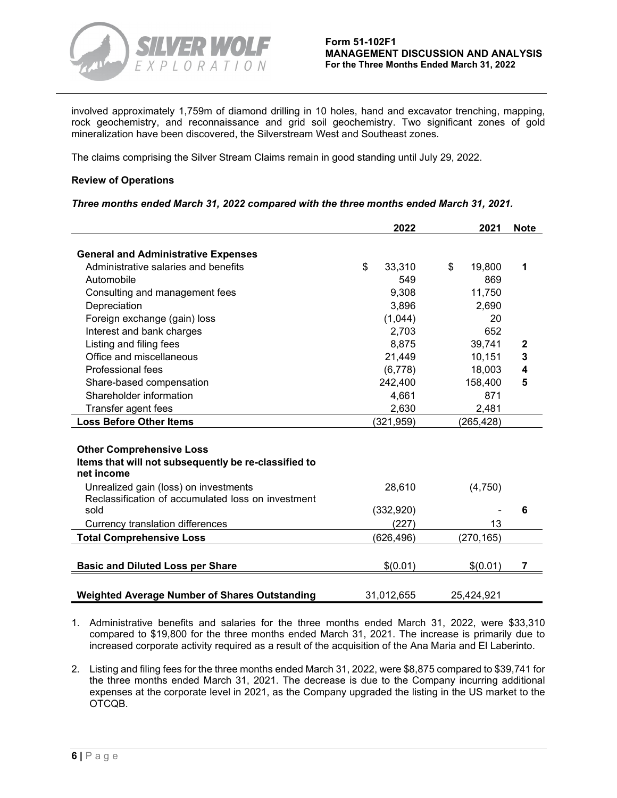

involved approximately 1,759m of diamond drilling in 10 holes, hand and excavator trenching, mapping, rock geochemistry, and reconnaissance and grid soil geochemistry. Two significant zones of gold mineralization have been discovered, the Silverstream West and Southeast zones.

The claims comprising the Silver Stream Claims remain in good standing until July 29, 2022.

# **Review of Operations**

### *Three months ended March 31, 2022 compared with the three months ended March 31, 2021.*

|                                                      | 2022         | 2021         | <b>Note</b>  |
|------------------------------------------------------|--------------|--------------|--------------|
|                                                      |              |              |              |
| <b>General and Administrative Expenses</b>           |              |              |              |
| Administrative salaries and benefits                 | \$<br>33,310 | \$<br>19,800 | 1            |
| Automobile                                           | 549          | 869          |              |
| Consulting and management fees                       | 9,308        | 11,750       |              |
| Depreciation                                         | 3,896        | 2,690        |              |
| Foreign exchange (gain) loss                         | (1,044)      | 20           |              |
| Interest and bank charges                            | 2,703        | 652          |              |
| Listing and filing fees                              | 8,875        | 39,741       | $\mathbf{2}$ |
| Office and miscellaneous                             | 21,449       | 10,151       | 3            |
| Professional fees                                    | (6, 778)     | 18,003       | 4            |
| Share-based compensation                             | 242,400      | 158,400      | 5            |
| Shareholder information                              | 4,661        | 871          |              |
| Transfer agent fees                                  | 2,630        | 2,481        |              |
| <b>Loss Before Other Items</b>                       | (321, 959)   | (265, 428)   |              |
|                                                      |              |              |              |
| <b>Other Comprehensive Loss</b>                      |              |              |              |
| Items that will not subsequently be re-classified to |              |              |              |
| net income                                           |              |              |              |
| Unrealized gain (loss) on investments                | 28,610       | (4,750)      |              |
| Reclassification of accumulated loss on investment   |              |              |              |
| sold                                                 | (332,920)    |              | 6            |
| Currency translation differences                     | (227)        | 13           |              |
| <b>Total Comprehensive Loss</b>                      | (626, 496)   | (270, 165)   |              |
|                                                      |              |              |              |
| <b>Basic and Diluted Loss per Share</b>              | \$(0.01)     | \$(0.01)     | 7            |
|                                                      |              |              |              |
| <b>Weighted Average Number of Shares Outstanding</b> | 31,012,655   | 25,424,921   |              |

- 1. Administrative benefits and salaries for the three months ended March 31, 2022, were \$33,310 compared to \$19,800 for the three months ended March 31, 2021. The increase is primarily due to increased corporate activity required as a result of the acquisition of the Ana Maria and El Laberinto.
- 2. Listing and filing fees for the three months ended March 31, 2022, were \$8,875 compared to \$39,741 for the three months ended March 31, 2021. The decrease is due to the Company incurring additional expenses at the corporate level in 2021, as the Company upgraded the listing in the US market to the OTCQB.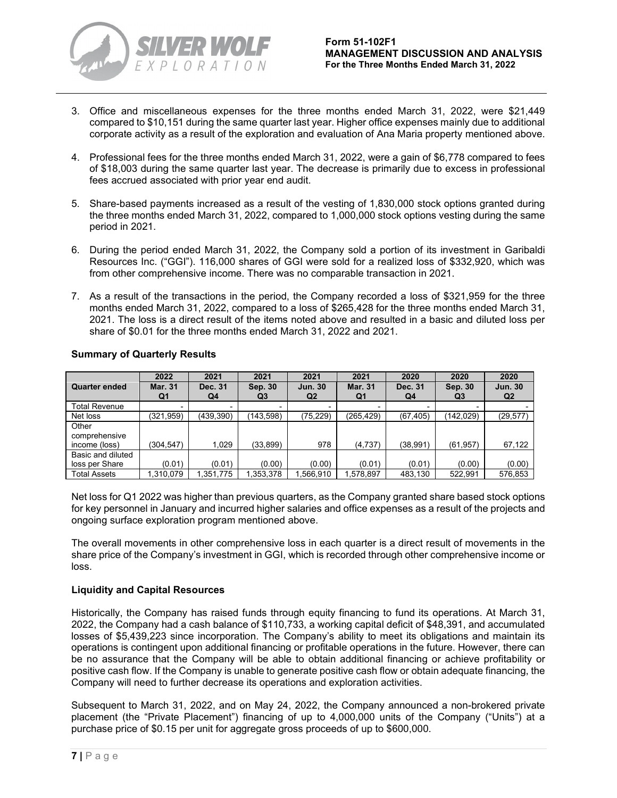

- 3. Office and miscellaneous expenses for the three months ended March 31, 2022, were \$21,449 compared to \$10,151 during the same quarter last year. Higher office expenses mainly due to additional corporate activity as a result of the exploration and evaluation of Ana Maria property mentioned above.
- 4. Professional fees for the three months ended March 31, 2022, were a gain of \$6,778 compared to fees of \$18,003 during the same quarter last year. The decrease is primarily due to excess in professional fees accrued associated with prior year end audit.
- 5. Share-based payments increased as a result of the vesting of 1,830,000 stock options granted during the three months ended March 31, 2022, compared to 1,000,000 stock options vesting during the same period in 2021.
- 6. During the period ended March 31, 2022, the Company sold a portion of its investment in Garibaldi Resources Inc. ("GGI"). 116,000 shares of GGI were sold for a realized loss of \$332,920, which was from other comprehensive income. There was no comparable transaction in 2021.
- 7. As a result of the transactions in the period, the Company recorded a loss of \$321,959 for the three months ended March 31, 2022, compared to a loss of \$265,428 for the three months ended March 31, 2021. The loss is a direct result of the items noted above and resulted in a basic and diluted loss per share of \$0.01 for the three months ended March 31, 2022 and 2021.

|                                         | 2022                 | 2021                     | 2021          | 2021                             | 2021                 | 2020          | 2020          | 2020                             |
|-----------------------------------------|----------------------|--------------------------|---------------|----------------------------------|----------------------|---------------|---------------|----------------------------------|
| <b>Quarter ended</b>                    | <b>Mar. 31</b><br>Q1 | Dec. 31<br>Q4            | Sep. 30<br>Q3 | <b>Jun. 30</b><br>Q <sub>2</sub> | <b>Mar. 31</b><br>Q1 | Dec. 31<br>Q4 | Sep. 30<br>Q3 | <b>Jun. 30</b><br>Q <sub>2</sub> |
| Total Revenue                           | ۰                    | $\overline{\phantom{0}}$ | -             |                                  |                      |               |               |                                  |
| Net loss                                | (321, 959)           | (439, 390)               | (143, 598)    | (75,229)                         | (265, 429)           | (67, 405)     | (142,029)     | (29, 577)                        |
| Other<br>comprehensive<br>income (loss) | (304.547)            | 1,029                    | (33, 899)     | 978                              | (4,737)              | (38, 991)     | (61, 957)     | 67,122                           |
| Basic and diluted                       |                      |                          |               |                                  |                      |               |               |                                  |
| loss per Share                          | (0.01)               | (0.01)                   | (0.00)        | (0.00)                           | (0.01)               | (0.01)        | (0.00)        | (0.00)                           |
| Total Assets                            | 1,310,079            | 1,351,775                | 1,353,378     | 1.566.910                        | 1.578.897            | 483.130       | 522.991       | 576,853                          |

# **Summary of Quarterly Results**

Net loss for Q1 2022 was higher than previous quarters, as the Company granted share based stock options for key personnel in January and incurred higher salaries and office expenses as a result of the projects and ongoing surface exploration program mentioned above.

The overall movements in other comprehensive loss in each quarter is a direct result of movements in the share price of the Company's investment in GGI, which is recorded through other comprehensive income or loss.

# **Liquidity and Capital Resources**

Historically, the Company has raised funds through equity financing to fund its operations. At March 31, 2022, the Company had a cash balance of \$110,733, a working capital deficit of \$48,391, and accumulated losses of \$5,439,223 since incorporation. The Company's ability to meet its obligations and maintain its operations is contingent upon additional financing or profitable operations in the future. However, there can be no assurance that the Company will be able to obtain additional financing or achieve profitability or positive cash flow. If the Company is unable to generate positive cash flow or obtain adequate financing, the Company will need to further decrease its operations and exploration activities.

Subsequent to March 31, 2022, and on May 24, 2022, the Company announced a non-brokered private placement (the "Private Placement") financing of up to 4,000,000 units of the Company ("Units") at a purchase price of \$0.15 per unit for aggregate gross proceeds of up to \$600,000.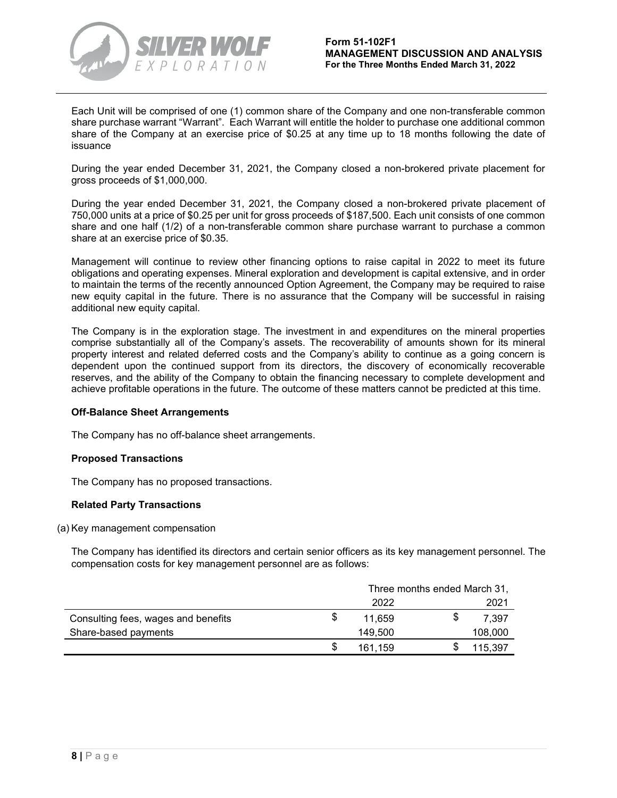

Each Unit will be comprised of one (1) common share of the Company and one non-transferable common share purchase warrant "Warrant". Each Warrant will entitle the holder to purchase one additional common share of the Company at an exercise price of \$0.25 at any time up to 18 months following the date of issuance

During the year ended December 31, 2021, the Company closed a non-brokered private placement for gross proceeds of \$1,000,000.

During the year ended December 31, 2021, the Company closed a non-brokered private placement of 750,000 units at a price of \$0.25 per unit for gross proceeds of \$187,500. Each unit consists of one common share and one half (1/2) of a non-transferable common share purchase warrant to purchase a common share at an exercise price of \$0.35.

Management will continue to review other financing options to raise capital in 2022 to meet its future obligations and operating expenses. Mineral exploration and development is capital extensive, and in order to maintain the terms of the recently announced Option Agreement, the Company may be required to raise new equity capital in the future. There is no assurance that the Company will be successful in raising additional new equity capital.

The Company is in the exploration stage. The investment in and expenditures on the mineral properties comprise substantially all of the Company's assets. The recoverability of amounts shown for its mineral property interest and related deferred costs and the Company's ability to continue as a going concern is dependent upon the continued support from its directors, the discovery of economically recoverable reserves, and the ability of the Company to obtain the financing necessary to complete development and achieve profitable operations in the future. The outcome of these matters cannot be predicted at this time.

# **Off-Balance Sheet Arrangements**

The Company has no off-balance sheet arrangements.

# **Proposed Transactions**

The Company has no proposed transactions.

# **Related Party Transactions**

# (a) Key management compensation

The Company has identified its directors and certain senior officers as its key management personnel. The compensation costs for key management personnel are as follows:

|                                     |     | Three months ended March 31, |  |         |
|-------------------------------------|-----|------------------------------|--|---------|
|                                     |     | 2022                         |  | 2021    |
| Consulting fees, wages and benefits |     | 11.659                       |  | 7.397   |
| Share-based payments                |     | 149.500                      |  | 108,000 |
|                                     | \$. | 161.159                      |  | 115,397 |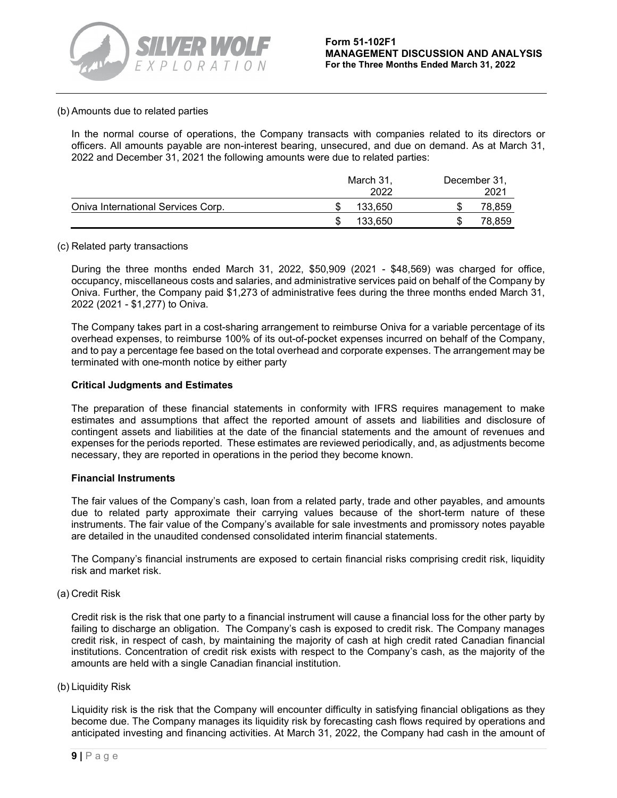### (b) Amounts due to related parties

In the normal course of operations, the Company transacts with companies related to its directors or officers. All amounts payable are non-interest bearing, unsecured, and due on demand. As at March 31, 2022 and December 31, 2021 the following amounts were due to related parties:

|                                    | March 31,<br>2022 | December 31,<br>2021 |
|------------------------------------|-------------------|----------------------|
| Oniva International Services Corp. | 133.650           | 78,859               |
|                                    | 133.650           | 78,859               |

### (c) Related party transactions

During the three months ended March 31, 2022, \$50,909 (2021 - \$48,569) was charged for office, occupancy, miscellaneous costs and salaries, and administrative services paid on behalf of the Company by Oniva. Further, the Company paid \$1,273 of administrative fees during the three months ended March 31, 2022 (2021 - \$1,277) to Oniva.

The Company takes part in a cost-sharing arrangement to reimburse Oniva for a variable percentage of its overhead expenses, to reimburse 100% of its out-of-pocket expenses incurred on behalf of the Company, and to pay a percentage fee based on the total overhead and corporate expenses. The arrangement may be terminated with one-month notice by either party

# **Critical Judgments and Estimates**

The preparation of these financial statements in conformity with IFRS requires management to make estimates and assumptions that affect the reported amount of assets and liabilities and disclosure of contingent assets and liabilities at the date of the financial statements and the amount of revenues and expenses for the periods reported. These estimates are reviewed periodically, and, as adjustments become necessary, they are reported in operations in the period they become known.

# **Financial Instruments**

The fair values of the Company's cash, loan from a related party, trade and other payables, and amounts due to related party approximate their carrying values because of the short-term nature of these instruments. The fair value of the Company's available for sale investments and promissory notes payable are detailed in the unaudited condensed consolidated interim financial statements.

The Company's financial instruments are exposed to certain financial risks comprising credit risk, liquidity risk and market risk.

#### (a) Credit Risk

Credit risk is the risk that one party to a financial instrument will cause a financial loss for the other party by failing to discharge an obligation. The Company's cash is exposed to credit risk. The Company manages credit risk, in respect of cash, by maintaining the majority of cash at high credit rated Canadian financial institutions. Concentration of credit risk exists with respect to the Company's cash, as the majority of the amounts are held with a single Canadian financial institution.

# (b) Liquidity Risk

Liquidity risk is the risk that the Company will encounter difficulty in satisfying financial obligations as they become due. The Company manages its liquidity risk by forecasting cash flows required by operations and anticipated investing and financing activities. At March 31, 2022, the Company had cash in the amount of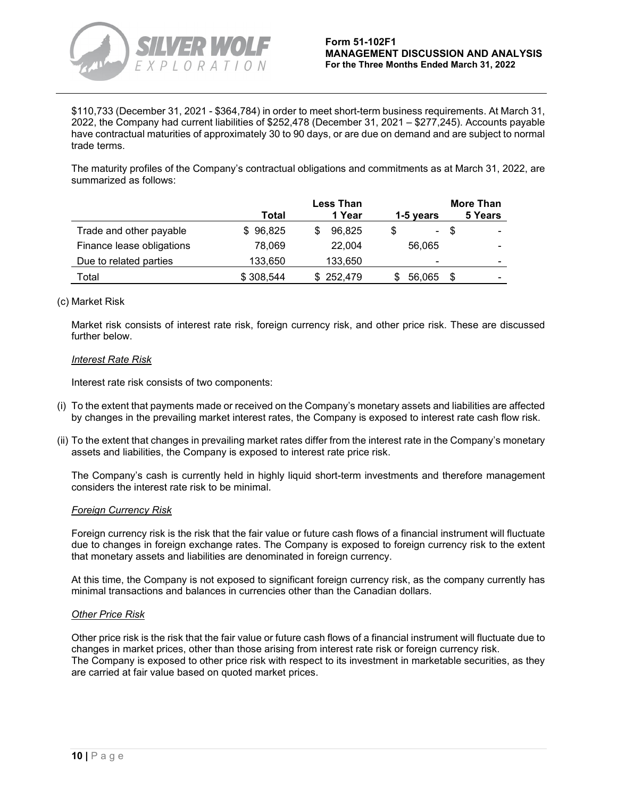

\$110,733 (December 31, 2021 - \$364,784) in order to meet short-term business requirements. At March 31, 2022, the Company had current liabilities of \$252,478 (December 31, 2021 – \$277,245). Accounts payable have contractual maturities of approximately 30 to 90 days, or are due on demand and are subject to normal trade terms.

The maturity profiles of the Company's contractual obligations and commitments as at March 31, 2022, are summarized as follows:

|                           |           | <b>Less Than</b> |                | <b>More Than</b> |
|---------------------------|-----------|------------------|----------------|------------------|
|                           | Total     | 1 Year           | 1-5 years      | 5 Years          |
| Trade and other payable   | \$96,825  | 96.825<br>S      |                | - \$<br>-        |
| Finance lease obligations | 78,069    | 22,004           | 56,065         | -                |
| Due to related parties    | 133,650   | 133,650          | $\blacksquare$ | -                |
| Total                     | \$308,544 | \$252,479        | 56,065         | S<br>-           |

# (c) Market Risk

Market risk consists of interest rate risk, foreign currency risk, and other price risk. These are discussed further below.

### *Interest Rate Risk*

Interest rate risk consists of two components:

- (i) To the extent that payments made or received on the Company's monetary assets and liabilities are affected by changes in the prevailing market interest rates, the Company is exposed to interest rate cash flow risk.
- (ii) To the extent that changes in prevailing market rates differ from the interest rate in the Company's monetary assets and liabilities, the Company is exposed to interest rate price risk.

The Company's cash is currently held in highly liquid short-term investments and therefore management considers the interest rate risk to be minimal.

#### *Foreign Currency Risk*

Foreign currency risk is the risk that the fair value or future cash flows of a financial instrument will fluctuate due to changes in foreign exchange rates. The Company is exposed to foreign currency risk to the extent that monetary assets and liabilities are denominated in foreign currency.

At this time, the Company is not exposed to significant foreign currency risk, as the company currently has minimal transactions and balances in currencies other than the Canadian dollars.

#### *Other Price Risk*

Other price risk is the risk that the fair value or future cash flows of a financial instrument will fluctuate due to changes in market prices, other than those arising from interest rate risk or foreign currency risk. The Company is exposed to other price risk with respect to its investment in marketable securities, as they are carried at fair value based on quoted market prices.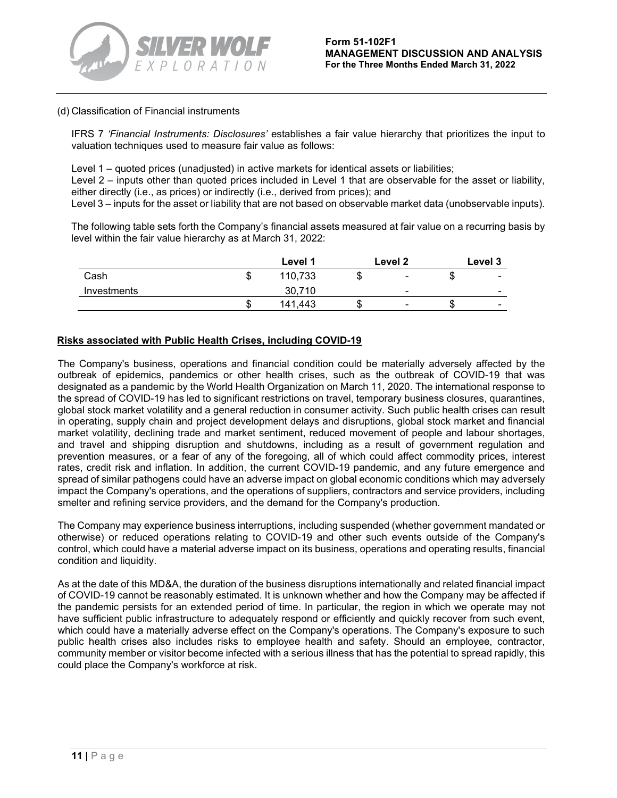

### (d) Classification of Financial instruments

IFRS 7 *'Financial Instruments: Disclosures'* establishes a fair value hierarchy that prioritizes the input to valuation techniques used to measure fair value as follows:

Level 1 – quoted prices (unadjusted) in active markets for identical assets or liabilities; Level 2 – inputs other than quoted prices included in Level 1 that are observable for the asset or liability, either directly (i.e., as prices) or indirectly (i.e., derived from prices); and Level 3 – inputs for the asset or liability that are not based on observable market data (unobservable inputs).

The following table sets forth the Company's financial assets measured at fair value on a recurring basis by level within the fair value hierarchy as at March 31, 2022:

|             |    | Level 1 |    | Level 2                  |   | Level 3 |
|-------------|----|---------|----|--------------------------|---|---------|
| Cash        | ۰D | 110,733 | 31 | $\overline{\phantom{0}}$ | u | ۰       |
| Investments |    | 30,710  |    | $\overline{\phantom{0}}$ |   | -       |
|             | κD | 141.443 |    | $\blacksquare$           |   | ۰       |

# **Risks associated with Public Health Crises, including COVID-19**

The Company's business, operations and financial condition could be materially adversely affected by the outbreak of epidemics, pandemics or other health crises, such as the outbreak of COVID-19 that was designated as a pandemic by the World Health Organization on March 11, 2020. The international response to the spread of COVID-19 has led to significant restrictions on travel, temporary business closures, quarantines, global stock market volatility and a general reduction in consumer activity. Such public health crises can result in operating, supply chain and project development delays and disruptions, global stock market and financial market volatility, declining trade and market sentiment, reduced movement of people and labour shortages, and travel and shipping disruption and shutdowns, including as a result of government regulation and prevention measures, or a fear of any of the foregoing, all of which could affect commodity prices, interest rates, credit risk and inflation. In addition, the current COVID-19 pandemic, and any future emergence and spread of similar pathogens could have an adverse impact on global economic conditions which may adversely impact the Company's operations, and the operations of suppliers, contractors and service providers, including smelter and refining service providers, and the demand for the Company's production.

The Company may experience business interruptions, including suspended (whether government mandated or otherwise) or reduced operations relating to COVID-19 and other such events outside of the Company's control, which could have a material adverse impact on its business, operations and operating results, financial condition and liquidity.

As at the date of this MD&A, the duration of the business disruptions internationally and related financial impact of COVID-19 cannot be reasonably estimated. It is unknown whether and how the Company may be affected if the pandemic persists for an extended period of time. In particular, the region in which we operate may not have sufficient public infrastructure to adequately respond or efficiently and quickly recover from such event, which could have a materially adverse effect on the Company's operations. The Company's exposure to such public health crises also includes risks to employee health and safety. Should an employee, contractor, community member or visitor become infected with a serious illness that has the potential to spread rapidly, this could place the Company's workforce at risk.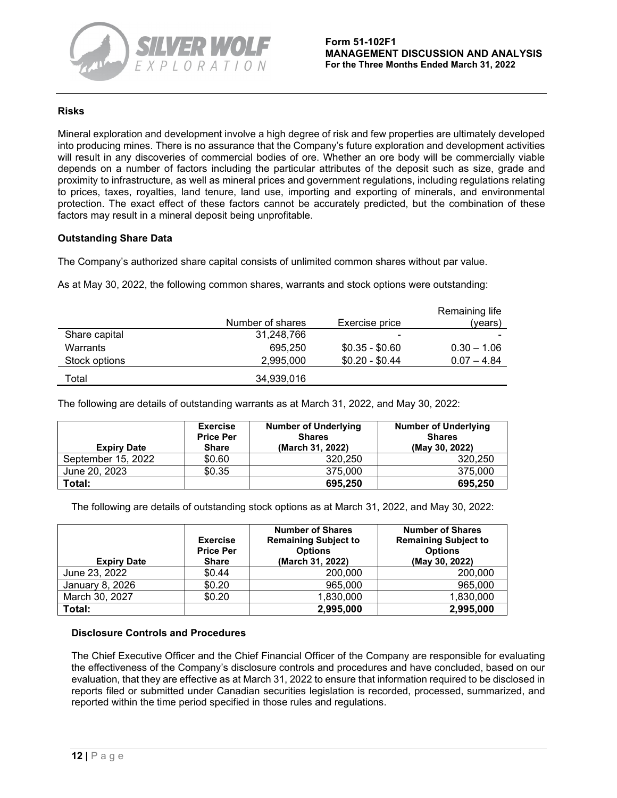

# **Risks**

Mineral exploration and development involve a high degree of risk and few properties are ultimately developed into producing mines. There is no assurance that the Company's future exploration and development activities will result in any discoveries of commercial bodies of ore. Whether an ore body will be commercially viable depends on a number of factors including the particular attributes of the deposit such as size, grade and proximity to infrastructure, as well as mineral prices and government regulations, including regulations relating to prices, taxes, royalties, land tenure, land use, importing and exporting of minerals, and environmental protection. The exact effect of these factors cannot be accurately predicted, but the combination of these factors may result in a mineral deposit being unprofitable.

# **Outstanding Share Data**

The Company's authorized share capital consists of unlimited common shares without par value.

As at May 30, 2022, the following common shares, warrants and stock options were outstanding:

|               |                  |                          | Remaining life |
|---------------|------------------|--------------------------|----------------|
|               | Number of shares | Exercise price           | (vears)        |
| Share capital | 31,248,766       | $\overline{\phantom{0}}$ |                |
| Warrants      | 695.250          | $$0.35 - $0.60$          | $0.30 - 1.06$  |
| Stock options | 2.995.000        | $$0.20 - $0.44$          | $0.07 - 4.84$  |
| Total         | 34,939,016       |                          |                |

The following are details of outstanding warrants as at March 31, 2022, and May 30, 2022:

| <b>Expiry Date</b> | <b>Exercise</b><br><b>Price Per</b><br>Share | <b>Number of Underlying</b><br><b>Shares</b><br>(March 31, 2022) | <b>Number of Underlying</b><br><b>Shares</b><br>(May 30, 2022) |
|--------------------|----------------------------------------------|------------------------------------------------------------------|----------------------------------------------------------------|
| September 15, 2022 | \$0.60                                       | 320.250                                                          | 320.250                                                        |
| June 20, 2023      | \$0.35                                       | 375,000                                                          | 375,000                                                        |
| Total:             |                                              | 695.250                                                          | 695.250                                                        |

The following are details of outstanding stock options as at March 31, 2022, and May 30, 2022:

| <b>Expiry Date</b> | <b>Exercise</b><br><b>Price Per</b><br><b>Share</b> | <b>Number of Shares</b><br><b>Remaining Subject to</b><br><b>Options</b><br>(March 31, 2022) | <b>Number of Shares</b><br><b>Remaining Subject to</b><br><b>Options</b><br>(May 30, 2022) |
|--------------------|-----------------------------------------------------|----------------------------------------------------------------------------------------------|--------------------------------------------------------------------------------------------|
| June 23, 2022      | \$0.44                                              | 200,000                                                                                      | 200,000                                                                                    |
| January 8, 2026    | \$0.20                                              | 965,000                                                                                      | 965,000                                                                                    |
| March 30, 2027     | \$0.20                                              | 1,830,000                                                                                    | 1,830,000                                                                                  |
| Total:             |                                                     | 2,995,000                                                                                    | 2,995,000                                                                                  |

# **Disclosure Controls and Procedures**

The Chief Executive Officer and the Chief Financial Officer of the Company are responsible for evaluating the effectiveness of the Company's disclosure controls and procedures and have concluded, based on our evaluation, that they are effective as at March 31, 2022 to ensure that information required to be disclosed in reports filed or submitted under Canadian securities legislation is recorded, processed, summarized, and reported within the time period specified in those rules and regulations.